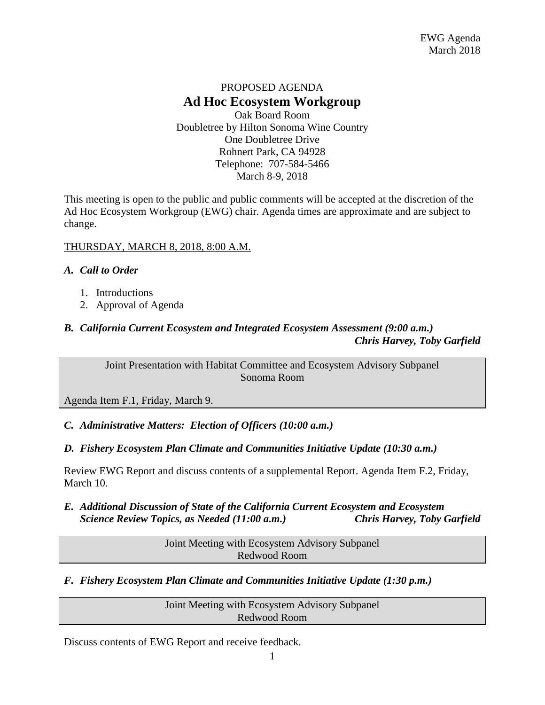## PROPOSED AGENDA **Ad Hoc Ecosystem Workgroup** Oak Board Room

Doubletree by Hilton Sonoma Wine Country One Doubletree Drive Rohnert Park, CA 94928 Telephone: 707-584-5466 March 8-9, 2018

This meeting is open to the public and public comments will be accepted at the discretion of the Ad Hoc Ecosystem Workgroup (EWG) chair. Agenda times are approximate and are subject to change.

### THURSDAY, MARCH 8, 2018, 8:00 A.M.

### *A. Call to Order*

- 1. Introductions
- 2. Approval of Agenda

## *B. California Current Ecosystem and Integrated Ecosystem Assessment (9:00 a.m.) Chris Harvey, Toby Garfield*

Joint Presentation with Habitat Committee and Ecosystem Advisory Subpanel Sonoma Room

Agenda Item F.1, Friday, March 9.

## *C. Administrative Matters: Election of Officers (10:00 a.m.)*

## *D. Fishery Ecosystem Plan Climate and Communities Initiative Update (10:30 a.m.)*

Review EWG Report and discuss contents of a supplemental Report. Agenda Item F.2, Friday, March 10.

*E. Additional Discussion of State of the California Current Ecosystem and Ecosystem Science Review Topics, as Needed (11:00 a.m.) Chris Harvey, Toby Garfield*

> Joint Meeting with Ecosystem Advisory Subpanel Redwood Room

## *F. Fishery Ecosystem Plan Climate and Communities Initiative Update (1:30 p.m.)*

Joint Meeting with Ecosystem Advisory Subpanel Redwood Room

Discuss contents of EWG Report and receive feedback.